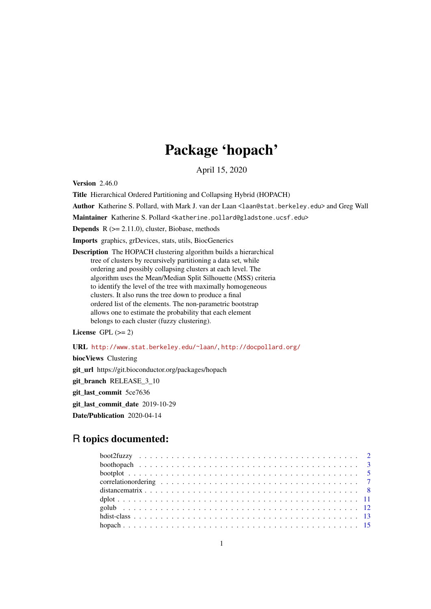# Package 'hopach'

April 15, 2020

<span id="page-0-0"></span>Version 2.46.0

Title Hierarchical Ordered Partitioning and Collapsing Hybrid (HOPACH)

Author Katherine S. Pollard, with Mark J. van der Laan <laan@stat.berkeley.edu> and Greg Wall

Maintainer Katherine S. Pollard <katherine.pollard@gladstone.ucsf.edu>

**Depends**  $R$  ( $>= 2.11.0$ ), cluster, Biobase, methods

Imports graphics, grDevices, stats, utils, BiocGenerics

Description The HOPACH clustering algorithm builds a hierarchical tree of clusters by recursively partitioning a data set, while ordering and possibly collapsing clusters at each level. The algorithm uses the Mean/Median Split Silhouette (MSS) criteria to identify the level of the tree with maximally homogeneous clusters. It also runs the tree down to produce a final ordered list of the elements. The non-parametric bootstrap allows one to estimate the probability that each element belongs to each cluster (fuzzy clustering).

License GPL  $(>= 2)$ 

URL <http://www.stat.berkeley.edu/~laan/>, <http://docpollard.org/>

biocViews Clustering git\_url https://git.bioconductor.org/packages/hopach git\_branch RELEASE\_3\_10 git\_last\_commit 5ce7636 git\_last\_commit\_date 2019-10-29 Date/Publication 2020-04-14

# R topics documented: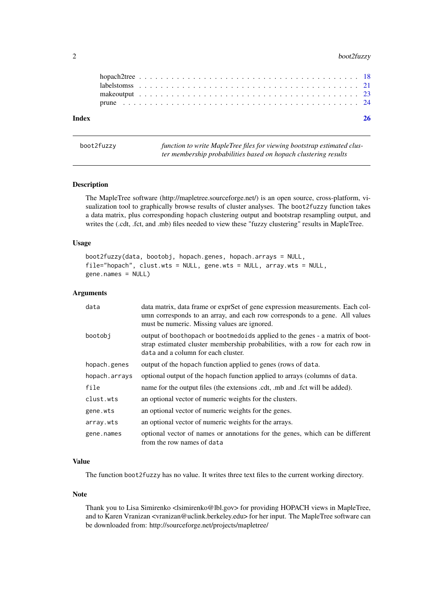### <span id="page-1-0"></span>2 boot2fuzzy

| Index |  |  |  |  |  |  |  |  |  |  |  |  |  |  |  |  |  |  |  |  |  |  |
|-------|--|--|--|--|--|--|--|--|--|--|--|--|--|--|--|--|--|--|--|--|--|--|
|       |  |  |  |  |  |  |  |  |  |  |  |  |  |  |  |  |  |  |  |  |  |  |
|       |  |  |  |  |  |  |  |  |  |  |  |  |  |  |  |  |  |  |  |  |  |  |
|       |  |  |  |  |  |  |  |  |  |  |  |  |  |  |  |  |  |  |  |  |  |  |
|       |  |  |  |  |  |  |  |  |  |  |  |  |  |  |  |  |  |  |  |  |  |  |

<span id="page-1-1"></span>boot2fuzzy *function to write MapleTree files for viewing bootstrap estimated cluster membership probabilities based on hopach clustering results*

#### Description

The MapleTree software (http://mapletree.sourceforge.net/) is an open source, cross-platform, visualization tool to graphically browse results of cluster analyses. The boot2fuzzy function takes a data matrix, plus corresponding hopach clustering output and bootstrap resampling output, and writes the (.cdt, .fct, and .mb) files needed to view these "fuzzy clustering" results in MapleTree.

#### Usage

```
boot2fuzzy(data, bootobj, hopach.genes, hopach.arrays = NULL,
file="hopach", clust.wts = NULL, gene.wts = NULL, array.wts = NULL,
gene.names = NULL)
```
#### Arguments

| data          | data matrix, data frame or exprSet of gene expression measurements. Each col-<br>umn corresponds to an array, and each row corresponds to a gene. All values<br>must be numeric. Missing values are ignored. |
|---------------|--------------------------------------------------------------------------------------------------------------------------------------------------------------------------------------------------------------|
| bootobi       | output of boothopach or bootmedoids applied to the genes - a matrix of boot-<br>strap estimated cluster membership probabilities, with a row for each row in<br>data and a column for each cluster.          |
| hopach.genes  | output of the hopach function applied to genes (rows of data.                                                                                                                                                |
| hopach.arrays | optional output of the hopach function applied to arrays (columns of data.                                                                                                                                   |
| file          | name for the output files (the extensions .cdt, .mb and .fct will be added).                                                                                                                                 |
| clust.wts     | an optional vector of numeric weights for the clusters.                                                                                                                                                      |
| gene.wts      | an optional vector of numeric weights for the genes.                                                                                                                                                         |
| array.wts     | an optional vector of numeric weights for the arrays.                                                                                                                                                        |
| gene.names    | optional vector of names or annotations for the genes, which can be different<br>from the row names of data                                                                                                  |

# Value

The function boot2fuzzy has no value. It writes three text files to the current working directory.

# Note

Thank you to Lisa Simirenko <lsimirenko@lbl.gov> for providing HOPACH views in MapleTree, and to Karen Vranizan <vranizan@uclink.berkeley.edu> for her input. The MapleTree software can be downloaded from: http://sourceforge.net/projects/mapletree/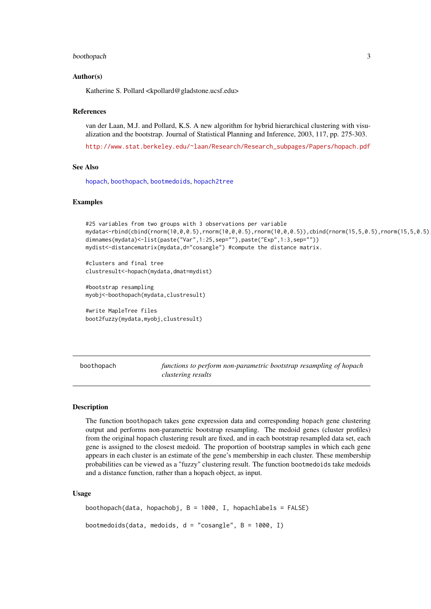#### <span id="page-2-0"></span>boothopach 3

#### Author(s)

Katherine S. Pollard <kpollard@gladstone.ucsf.edu>

#### References

van der Laan, M.J. and Pollard, K.S. A new algorithm for hybrid hierarchical clustering with visualization and the bootstrap. Journal of Statistical Planning and Inference, 2003, 117, pp. 275-303.

[http://www.stat.berkeley.edu/~laan/Research/Research\\_subpages/Papers/hopach.pdf](http://www.stat.berkeley.edu/~laan/Research/Research_subpages/Papers/hopach.pdf)

# See Also

[hopach](#page-14-1), [boothopach](#page-2-1), [bootmedoids](#page-2-2), [hopach2tree](#page-17-1)

#### Examples

```
#25 variables from two groups with 3 observations per variable
mydata<-rbind(cbind(rnorm(10,0,0.5),rnorm(10,0,0.5),rnorm(10,0,0.5)),cbind(rnorm(15,5,0.5),rnorm(15,5,0.5),rnorm(15,5,0.5)))
dimnames(mydata)<-list(paste("Var",1:25,sep=""),paste("Exp",1:3,sep=""))
mydist<-distancematrix(mydata,d="cosangle") #compute the distance matrix.
```
#clusters and final tree clustresult<-hopach(mydata,dmat=mydist)

#bootstrap resampling myobj<-boothopach(mydata,clustresult)

```
#write MapleTree files
boot2fuzzy(mydata,myobj,clustresult)
```
<span id="page-2-1"></span>boothopach *functions to perform non-parametric bootstrap resampling of hopach clustering results*

#### <span id="page-2-2"></span>Description

The function boothopach takes gene expression data and corresponding hopach gene clustering output and performs non-parametric bootstrap resampling. The medoid genes (cluster profiles) from the original hopach clustering result are fixed, and in each bootstrap resampled data set, each gene is assigned to the closest medoid. The proportion of bootstrap samples in which each gene appears in each cluster is an estimate of the gene's membership in each cluster. These membership probabilities can be viewed as a "fuzzy" clustering result. The function bootmedoids take medoids and a distance function, rather than a hopach object, as input.

# Usage

```
boothopach(data, hopachobj, B = 1000, I, hopachlabels = FALSE)
bootmedoids(data, medoids, d = "cosangle", B = 1000, I)
```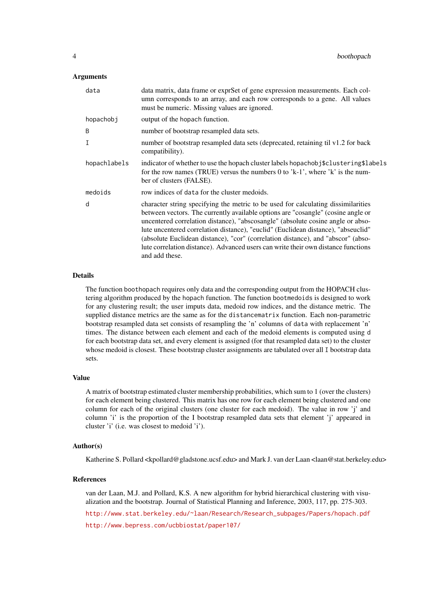# Arguments

| data         | data matrix, data frame or exprSet of gene expression measurements. Each col-<br>umn corresponds to an array, and each row corresponds to a gene. All values<br>must be numeric. Missing values are ignored.                                                                                                                                                                                                                                                                                                                             |
|--------------|------------------------------------------------------------------------------------------------------------------------------------------------------------------------------------------------------------------------------------------------------------------------------------------------------------------------------------------------------------------------------------------------------------------------------------------------------------------------------------------------------------------------------------------|
| hopachobj    | output of the hopach function.                                                                                                                                                                                                                                                                                                                                                                                                                                                                                                           |
| B            | number of bootstrap resampled data sets.                                                                                                                                                                                                                                                                                                                                                                                                                                                                                                 |
| Т            | number of bootstrap resampled data sets (deprecated, retaining til v1.2 for back<br>compatibility).                                                                                                                                                                                                                                                                                                                                                                                                                                      |
| hopachlabels | indicator of whether to use the hopach cluster labels hopachobj\$clustering\$labels<br>for the row names (TRUE) versus the numbers 0 to 'k-1', where 'k' is the num-<br>ber of clusters (FALSE).                                                                                                                                                                                                                                                                                                                                         |
| medoids      | row indices of data for the cluster medoids.                                                                                                                                                                                                                                                                                                                                                                                                                                                                                             |
| d            | character string specifying the metric to be used for calculating dissimilarities<br>between vectors. The currently available options are "cosangle" (cosine angle or<br>uncentered correlation distance), "abscosangle" (absolute cosine angle or abso-<br>lute uncentered correlation distance), "euclid" (Euclidean distance), "abseuclid"<br>(absolute Euclidean distance), "cor" (correlation distance), and "abscor" (abso-<br>lute correlation distance). Advanced users can write their own distance functions<br>and add these. |

#### Details

The function boothopach requires only data and the corresponding output from the HOPACH clustering algorithm produced by the hopach function. The function bootmedoids is designed to work for any clustering result; the user imputs data, medoid row indices, and the distance metric. The supplied distance metrics are the same as for the distancematrix function. Each non-parametric bootstrap resampled data set consists of resampling the 'n' columns of data with replacement 'n' times. The distance between each element and each of the medoid elements is computed using d for each bootstrap data set, and every element is assigned (for that resampled data set) to the cluster whose medoid is closest. These bootstrap cluster assignments are tabulated over all I bootstrap data sets.

# Value

A matrix of bootstrap estimated cluster membership probabilities, which sum to 1 (over the clusters) for each element being clustered. This matrix has one row for each element being clustered and one column for each of the original clusters (one cluster for each medoid). The value in row 'j' and column 'i' is the proportion of the I bootstrap resampled data sets that element 'j' appeared in cluster 'i' (i.e. was closest to medoid 'i').

#### Author(s)

Katherine S. Pollard <kpollard@gladstone.ucsf.edu> and Mark J. van der Laan <laan@stat.berkeley.edu>

#### References

van der Laan, M.J. and Pollard, K.S. A new algorithm for hybrid hierarchical clustering with visualization and the bootstrap. Journal of Statistical Planning and Inference, 2003, 117, pp. 275-303.

[http://www.stat.berkeley.edu/~laan/Research/Research\\_subpages/Papers/hopach.pdf](http://www.stat.berkeley.edu/~laan/Research/Research_subpages/Papers/hopach.pdf)

<http://www.bepress.com/ucbbiostat/paper107/>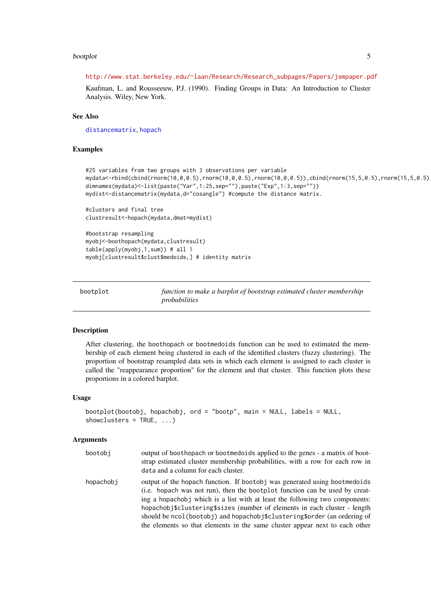#### <span id="page-4-0"></span>bootplot 5

#### [http://www.stat.berkeley.edu/~laan/Research/Research\\_subpages/Papers/jsmpaper.pdf](http://www.stat.berkeley.edu/~laan/Research/Research_subpages/Papers/jsmpaper.pdf)

Kaufman, L. and Rousseeuw, P.J. (1990). Finding Groups in Data: An Introduction to Cluster Analysis. Wiley, New York.

# See Also

[distancematrix](#page-7-1), [hopach](#page-14-1)

# Examples

```
#25 variables from two groups with 3 observations per variable
mydata<-rbind(cbind(rnorm(10,0,0.5),rnorm(10,0,0.5),rnorm(10,0,0.5)),cbind(rnorm(15,5,0.5),rnorm(15,5,0.5),rnorm(15,5,0.5)))
dimnames(mydata)<-list(paste("Var",1:25,sep=""),paste("Exp",1:3,sep=""))
mydist<-distancematrix(mydata,d="cosangle") #compute the distance matrix.
#clusters and final tree
```

```
clustresult<-hopach(mydata,dmat=mydist)
```

```
#bootstrap resampling
myobj<-boothopach(mydata,clustresult)
table(apply(myobj,1,sum)) # all 1
myobj[clustresult$clust$medoids,] # identity matrix
```
bootplot *function to make a barplot of bootstrap estimated cluster membership probabilities*

#### **Description**

After clustering, the boothopach or bootmedoids function can be used to estimated the membership of each element being clustered in each of the identified clusters (fuzzy clustering). The proportion of bootstrap resampled data sets in which each element is assigned to each cluster is called the "reappearance proportion" for the element and that cluster. This function plots these proportions in a colored barplot.

### Usage

```
bootplot(bootobj, hopachobj, ord = "bootp", main = NULL, labels = NULL,
showclusters = TRUE, ...)
```
#### Arguments

| bootobi   | output of boothopach or bootmedoids applied to the genes - a matrix of boot-<br>strap estimated cluster membership probabilities, with a row for each row in<br>data and a column for each cluster.                                                                                                                                                                                              |
|-----------|--------------------------------------------------------------------------------------------------------------------------------------------------------------------------------------------------------------------------------------------------------------------------------------------------------------------------------------------------------------------------------------------------|
| hopachobi | output of the hopach function. If bootobj was generated using bootmedoids<br>(i.e. hopach was not run), then the bootplot function can be used by creat-<br>ing a hopachobj which is a list with at least the following two components:<br>hopachobj\$clustering\$sizes (number of elements in each cluster - length<br>should be ncol(bootobj) and hopachobj\$clustering\$order (an ordering of |

the elements so that elements in the same cluster appear next to each other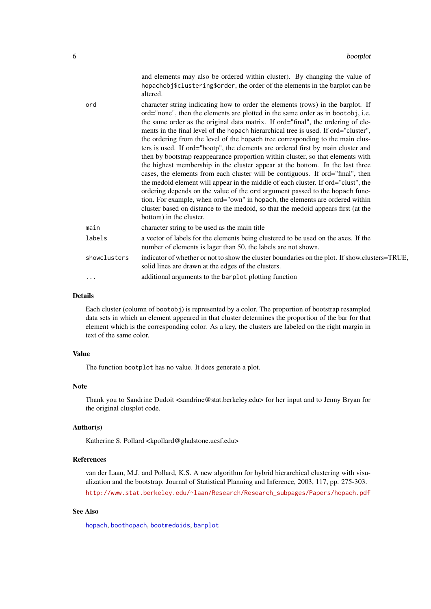<span id="page-5-0"></span>

|              | and elements may also be ordered within cluster). By changing the value of<br>hopachobj\$clustering\$order, the order of the elements in the barplot can be<br>altered.                                                                                                                                                                                                                                                                                                                                                                                                                                                                                                                                                                                                                                                                                                                                                                                                                                                                                                                                                                        |
|--------------|------------------------------------------------------------------------------------------------------------------------------------------------------------------------------------------------------------------------------------------------------------------------------------------------------------------------------------------------------------------------------------------------------------------------------------------------------------------------------------------------------------------------------------------------------------------------------------------------------------------------------------------------------------------------------------------------------------------------------------------------------------------------------------------------------------------------------------------------------------------------------------------------------------------------------------------------------------------------------------------------------------------------------------------------------------------------------------------------------------------------------------------------|
| ord          | character string indicating how to order the elements (rows) in the barplot. If<br>ord="none", then the elements are plotted in the same order as in bootobj, i.e.<br>the same order as the original data matrix. If ord="final", the ordering of ele-<br>ments in the final level of the hopach hierarchical tree is used. If ord="cluster",<br>the ordering from the level of the hopach tree corresponding to the main clus-<br>ters is used. If ord="bootp", the elements are ordered first by main cluster and<br>then by bootstrap reappearance proportion within cluster, so that elements with<br>the highest membership in the cluster appear at the bottom. In the last three<br>cases, the elements from each cluster will be contiguous. If ord="final", then<br>the medoid element will appear in the middle of each cluster. If ord="clust", the<br>ordering depends on the value of the ord argument passed to the hopach func-<br>tion. For example, when ord="own" in hopach, the elements are ordered within<br>cluster based on distance to the medoid, so that the medoid appears first (at the<br>bottom) in the cluster. |
| main         | character string to be used as the main title                                                                                                                                                                                                                                                                                                                                                                                                                                                                                                                                                                                                                                                                                                                                                                                                                                                                                                                                                                                                                                                                                                  |
| labels       | a vector of labels for the elements being clustered to be used on the axes. If the<br>number of elements is lager than 50, the labels are not shown.                                                                                                                                                                                                                                                                                                                                                                                                                                                                                                                                                                                                                                                                                                                                                                                                                                                                                                                                                                                           |
| showclusters | indicator of whether or not to show the cluster boundaries on the plot. If show.clusters=TRUE.<br>solid lines are drawn at the edges of the clusters.                                                                                                                                                                                                                                                                                                                                                                                                                                                                                                                                                                                                                                                                                                                                                                                                                                                                                                                                                                                          |
| $\cdots$     | additional arguments to the barplot plotting function                                                                                                                                                                                                                                                                                                                                                                                                                                                                                                                                                                                                                                                                                                                                                                                                                                                                                                                                                                                                                                                                                          |

#### Details

Each cluster (column of bootobj) is represented by a color. The proportion of bootstrap resampled data sets in which an element appeared in that cluster determines the proportion of the bar for that element which is the corresponding color. As a key, the clusters are labeled on the right margin in text of the same color.

# Value

The function bootplot has no value. It does generate a plot.

# Note

Thank you to Sandrine Dudoit <sandrine@stat.berkeley.edu> for her input and to Jenny Bryan for the original clusplot code.

# Author(s)

Katherine S. Pollard <kpollard@gladstone.ucsf.edu>

# References

van der Laan, M.J. and Pollard, K.S. A new algorithm for hybrid hierarchical clustering with visualization and the bootstrap. Journal of Statistical Planning and Inference, 2003, 117, pp. 275-303. [http://www.stat.berkeley.edu/~laan/Research/Research\\_subpages/Papers/hopach.pdf](http://www.stat.berkeley.edu/~laan/Research/Research_subpages/Papers/hopach.pdf)

#### See Also

[hopach](#page-14-1), [boothopach](#page-2-1), [bootmedoids](#page-2-2), [barplot](#page-0-0)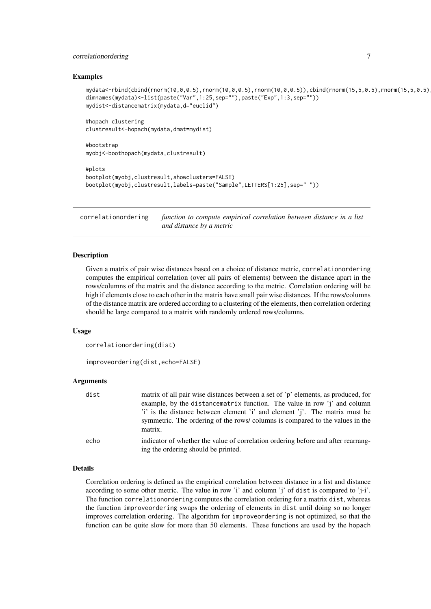#### <span id="page-6-0"></span>correlationordering 7

#### Examples

```
mydata<-rbind(cbind(rnorm(10,0,0.5),rnorm(10,0,0.5),rnorm(10,0,0.5)),cbind(rnorm(15,5,0.5),rnorm(15,5,0.5),rnorm(15,5,0.5)))
dimnames(mydata)<-list(paste("Var",1:25,sep=""),paste("Exp",1:3,sep=""))
mydist<-distancematrix(mydata,d="euclid")
```

```
#hopach clustering
clustresult<-hopach(mydata,dmat=mydist)
```
#bootstrap myobj<-boothopach(mydata,clustresult)

```
#plots
bootplot(myobj,clustresult,showclusters=FALSE)
bootplot(myobj,clustresult,labels=paste("Sample",LETTERS[1:25],sep=" "))
```
<span id="page-6-1"></span>correlationordering *function to compute empirical correlation between distance in a list and distance by a metric*

#### Description

Given a matrix of pair wise distances based on a choice of distance metric, correlationordering computes the empirical correlation (over all pairs of elements) between the distance apart in the rows/columns of the matrix and the distance according to the metric. Correlation ordering will be high if elements close to each other in the matrix have small pair wise distances. If the rows/columns of the distance matrix are ordered according to a clustering of the elements, then correlation ordering should be large compared to a matrix with randomly ordered rows/columns.

# Usage

```
correlationordering(dist)
```
improveordering(dist,echo=FALSE)

#### Arguments

| dist | matrix of all pair wise distances between a set of 'p' elements, as produced, for<br>example, by the distancematrix function. The value in row 'j' and column<br>'i' is the distance between element 'i' and element 'j'. The matrix must be<br>symmetric. The ordering of the rows/columns is compared to the values in the<br>matrix. |
|------|-----------------------------------------------------------------------------------------------------------------------------------------------------------------------------------------------------------------------------------------------------------------------------------------------------------------------------------------|
| echo | indicator of whether the value of correlation ordering before and after rearrang-<br>ing the ordering should be printed.                                                                                                                                                                                                                |

#### Details

Correlation ordering is defined as the empirical correlation between distance in a list and distance according to some other metric. The value in row 'i' and column 'j' of dist is compared to ' $j-i'$ . The function correlationordering computes the correlation ordering for a matrix dist, whereas the function improveordering swaps the ordering of elements in dist until doing so no longer improves correlation ordering. The algorithm for improveordering is not optimized, so that the function can be quite slow for more than 50 elements. These functions are used by the hopach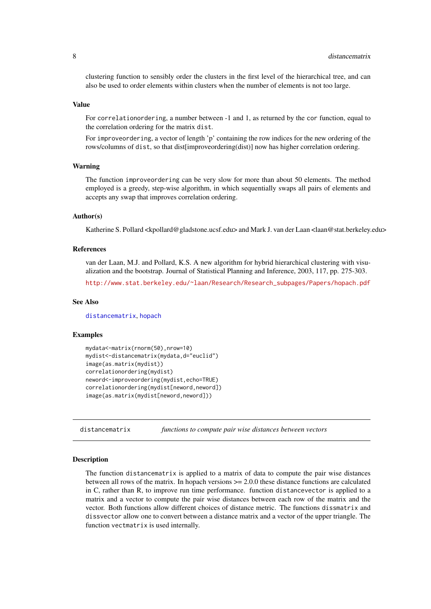<span id="page-7-0"></span>clustering function to sensibly order the clusters in the first level of the hierarchical tree, and can also be used to order elements within clusters when the number of elements is not too large.

#### Value

For correlationordering, a number between -1 and 1, as returned by the cor function, equal to the correlation ordering for the matrix dist.

For improveordering, a vector of length 'p' containing the row indices for the new ordering of the rows/columns of dist, so that dist[improveordering(dist)] now has higher correlation ordering.

#### Warning

The function improveordering can be very slow for more than about 50 elements. The method employed is a greedy, step-wise algorithm, in which sequentially swaps all pairs of elements and accepts any swap that improves correlation ordering.

# Author(s)

Katherine S. Pollard <kpollard@gladstone.ucsf.edu> and Mark J. van der Laan <laan@stat.berkeley.edu>

#### References

van der Laan, M.J. and Pollard, K.S. A new algorithm for hybrid hierarchical clustering with visualization and the bootstrap. Journal of Statistical Planning and Inference, 2003, 117, pp. 275-303.

[http://www.stat.berkeley.edu/~laan/Research/Research\\_subpages/Papers/hopach.pdf](http://www.stat.berkeley.edu/~laan/Research/Research_subpages/Papers/hopach.pdf)

#### See Also

[distancematrix](#page-7-1), [hopach](#page-14-1)

#### Examples

```
mydata<-matrix(rnorm(50),nrow=10)
mydist<-distancematrix(mydata,d="euclid")
image(as.matrix(mydist))
correlationordering(mydist)
neword<-improveordering(mydist,echo=TRUE)
correlationordering(mydist[neword,neword])
image(as.matrix(mydist[neword,neword]))
```
<span id="page-7-1"></span>distancematrix *functions to compute pair wise distances between vectors*

# Description

The function distancematrix is applied to a matrix of data to compute the pair wise distances between all rows of the matrix. In hopach versions  $\geq 2.0.0$  these distance functions are calculated in C, rather than R, to improve run time performance. function distancevector is applied to a matrix and a vector to compute the pair wise distances between each row of the matrix and the vector. Both functions allow different choices of distance metric. The functions dissmatrix and dissvector allow one to convert between a distance matrix and a vector of the upper triangle. The function vectmatrix is used internally.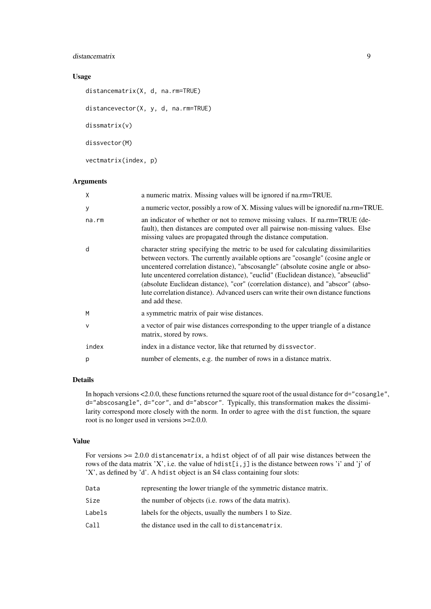#### distancematrix 9

# Usage

```
distancematrix(X, d, na.rm=TRUE)
distancevector(X, y, d, na.rm=TRUE)
dissmatrix(v)
dissvector(M)
vectmatrix(index, p)
```
#### Arguments

| X      | a numeric matrix. Missing values will be ignored if na.rm=TRUE.                                                                                                                                                                                                                                                                                                                                                                                                                                                                          |
|--------|------------------------------------------------------------------------------------------------------------------------------------------------------------------------------------------------------------------------------------------------------------------------------------------------------------------------------------------------------------------------------------------------------------------------------------------------------------------------------------------------------------------------------------------|
| У      | a numeric vector, possibly a row of X. Missing values will be ignored if na.rm=TRUE.                                                                                                                                                                                                                                                                                                                                                                                                                                                     |
| na.rm  | an indicator of whether or not to remove missing values. If na.rm=TRUE (de-<br>fault), then distances are computed over all pairwise non-missing values. Else<br>missing values are propagated through the distance computation.                                                                                                                                                                                                                                                                                                         |
| d      | character string specifying the metric to be used for calculating dissimilarities<br>between vectors. The currently available options are "cosangle" (cosine angle or<br>uncentered correlation distance), "abscosangle" (absolute cosine angle or abso-<br>lute uncentered correlation distance), "euclid" (Euclidean distance), "abseuclid"<br>(absolute Euclidean distance), "cor" (correlation distance), and "abscor" (abso-<br>lute correlation distance). Advanced users can write their own distance functions<br>and add these. |
| M      | a symmetric matrix of pair wise distances.                                                                                                                                                                                                                                                                                                                                                                                                                                                                                               |
| $\vee$ | a vector of pair wise distances corresponding to the upper triangle of a distance<br>matrix, stored by rows.                                                                                                                                                                                                                                                                                                                                                                                                                             |
| index  | index in a distance vector, like that returned by dissvector.                                                                                                                                                                                                                                                                                                                                                                                                                                                                            |
| p      | number of elements, e.g. the number of rows in a distance matrix.                                                                                                                                                                                                                                                                                                                                                                                                                                                                        |

# Details

In hopach versions <2.0.0, these functions returned the square root of the usual distance for d="cosangle", d="abscosangle", d="cor", and d="abscor". Typically, this transformation makes the dissimilarity correspond more closely with the norm. In order to agree with the dist function, the square root is no longer used in versions >=2.0.0.

# Value

For versions >= 2.0.0 distancematrix, a hdist object of of all pair wise distances between the rows of the data matrix 'X', i.e. the value of hdist[i,j] is the distance between rows 'i' and 'j' of 'X', as defined by 'd'. A hdist object is an S4 class containing four slots:

| Data   | representing the lower triangle of the symmetric distance matrix. |
|--------|-------------------------------------------------------------------|
| Size   | the number of objects (i.e. rows of the data matrix).             |
| Labels | labels for the objects, usually the numbers 1 to Size.            |
| Call   | the distance used in the call to distance matrix.                 |
|        |                                                                   |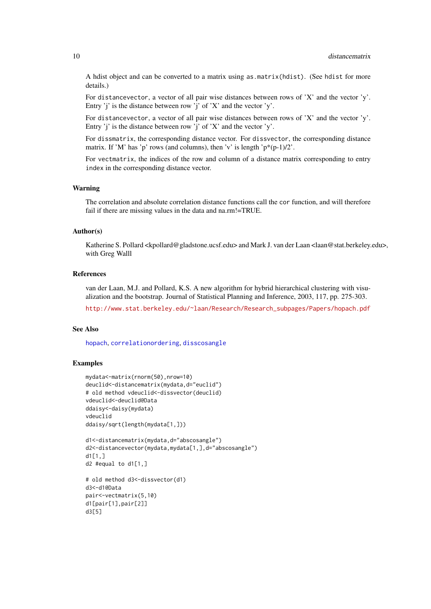A hdist object and can be converted to a matrix using as.matrix(hdist). (See hdist for more details.)

For distancevector, a vector of all pair wise distances between rows of 'X' and the vector 'y'. Entry 'j' is the distance between row 'j' of 'X' and the vector 'y'.

For distancevector, a vector of all pair wise distances between rows of 'X' and the vector 'y'. Entry 'j' is the distance between row 'j' of 'X' and the vector 'y'.

For dissmatrix, the corresponding distance vector. For dissvector, the corresponding distance matrix. If 'M' has 'p' rows (and columns), then 'v' is length ' $p^*(p-1)/2$ '.

For vectmatrix, the indices of the row and column of a distance matrix corresponding to entry index in the corresponding distance vector.

#### Warning

The correlation and absolute correlation distance functions call the cor function, and will therefore fail if there are missing values in the data and na.rm!=TRUE.

#### Author(s)

Katherine S. Pollard <kpollard@gladstone.ucsf.edu> and Mark J. van der Laan <laan@stat.berkeley.edu>, with Greg Walll

# References

van der Laan, M.J. and Pollard, K.S. A new algorithm for hybrid hierarchical clustering with visualization and the bootstrap. Journal of Statistical Planning and Inference, 2003, 117, pp. 275-303.

[http://www.stat.berkeley.edu/~laan/Research/Research\\_subpages/Papers/hopach.pdf](http://www.stat.berkeley.edu/~laan/Research/Research_subpages/Papers/hopach.pdf)

# See Also

[hopach](#page-14-1), [correlationordering](#page-6-1), [disscosangle](#page-0-0)

#### Examples

```
mydata<-matrix(rnorm(50),nrow=10)
deuclid<-distancematrix(mydata,d="euclid")
# old method vdeuclid<-dissvector(deuclid)
vdeuclid<-deuclid@Data
ddaisy<-daisy(mydata)
vdeuclid
ddaisy/sqrt(length(mydata[1,]))
d1<-distancematrix(mydata,d="abscosangle")
d2<-distancevector(mydata,mydata[1,],d="abscosangle")
d1[1,]d2 #equal to d1[1,]
# old method d3<-dissvector(d1)
d3<-d1@Data
pair<-vectmatrix(5,10)
d1[pair[1],pair[2]]
d3[5]
```
<span id="page-9-0"></span>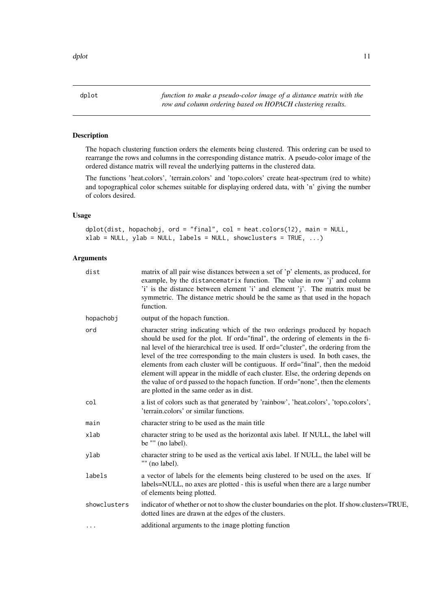<span id="page-10-0"></span>

# Description

The hopach clustering function orders the elements being clustered. This ordering can be used to rearrange the rows and columns in the corresponding distance matrix. A pseudo-color image of the ordered distance matrix will reveal the underlying patterns in the clustered data.

The functions 'heat.colors', 'terrain.colors' and 'topo.colors' create heat-spectrum (red to white) and topographical color schemes suitable for displaying ordered data, with 'n' giving the number of colors desired.

# Usage

dplot(dist, hopachobj, ord = "final", col = heat.colors(12), main = NULL, xlab = NULL, ylab = NULL, labels = NULL, showclusters = TRUE, ...)

# Arguments

| dist         | matrix of all pair wise distances between a set of 'p' elements, as produced, for<br>example, by the distancematrix function. The value in row 'j' and column<br>'i' is the distance between element 'i' and element 'j'. The matrix must be<br>symmetric. The distance metric should be the same as that used in the hopach<br>function.                                                                                                                                                                                                                                                                                                       |
|--------------|-------------------------------------------------------------------------------------------------------------------------------------------------------------------------------------------------------------------------------------------------------------------------------------------------------------------------------------------------------------------------------------------------------------------------------------------------------------------------------------------------------------------------------------------------------------------------------------------------------------------------------------------------|
| hopachobj    | output of the hopach function.                                                                                                                                                                                                                                                                                                                                                                                                                                                                                                                                                                                                                  |
| ord          | character string indicating which of the two orderings produced by hopach<br>should be used for the plot. If ord="final", the ordering of elements in the fi-<br>nal level of the hierarchical tree is used. If ord="cluster", the ordering from the<br>level of the tree corresponding to the main clusters is used. In both cases, the<br>elements from each cluster will be contiguous. If ord="final", then the medoid<br>element will appear in the middle of each cluster. Else, the ordering depends on<br>the value of ord passed to the hopach function. If ord="none", then the elements<br>are plotted in the same order as in dist. |
| col          | a list of colors such as that generated by 'rainbow', 'heat.colors', 'topo.colors',<br>'terrain.colors' or similar functions.                                                                                                                                                                                                                                                                                                                                                                                                                                                                                                                   |
| main         | character string to be used as the main title                                                                                                                                                                                                                                                                                                                                                                                                                                                                                                                                                                                                   |
| xlab         | character string to be used as the horizontal axis label. If NULL, the label will<br>be "" (no label).                                                                                                                                                                                                                                                                                                                                                                                                                                                                                                                                          |
| ylab         | character string to be used as the vertical axis label. If NULL, the label will be<br>"" (no label).                                                                                                                                                                                                                                                                                                                                                                                                                                                                                                                                            |
| labels       | a vector of labels for the elements being clustered to be used on the axes. If<br>labels=NULL, no axes are plotted - this is useful when there are a large number<br>of elements being plotted.                                                                                                                                                                                                                                                                                                                                                                                                                                                 |
| showclusters | indicator of whether or not to show the cluster boundaries on the plot. If show clusters=TRUE,<br>dotted lines are drawn at the edges of the clusters.                                                                                                                                                                                                                                                                                                                                                                                                                                                                                          |
| $\cdots$     | additional arguments to the image plotting function                                                                                                                                                                                                                                                                                                                                                                                                                                                                                                                                                                                             |
|              |                                                                                                                                                                                                                                                                                                                                                                                                                                                                                                                                                                                                                                                 |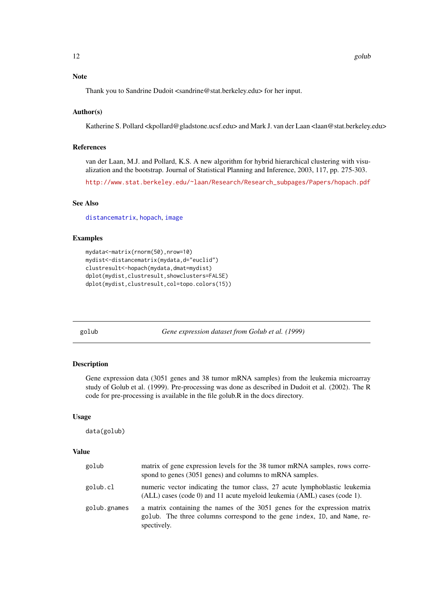#### <span id="page-11-0"></span>Note

Thank you to Sandrine Dudoit <sandrine@stat.berkeley.edu> for her input.

#### Author(s)

Katherine S. Pollard <kpollard@gladstone.ucsf.edu> and Mark J. van der Laan <laan@stat.berkeley.edu>

# References

van der Laan, M.J. and Pollard, K.S. A new algorithm for hybrid hierarchical clustering with visualization and the bootstrap. Journal of Statistical Planning and Inference, 2003, 117, pp. 275-303.

[http://www.stat.berkeley.edu/~laan/Research/Research\\_subpages/Papers/hopach.pdf](http://www.stat.berkeley.edu/~laan/Research/Research_subpages/Papers/hopach.pdf)

# See Also

[distancematrix](#page-7-1), [hopach](#page-14-1), [image](#page-0-0)

#### Examples

```
mydata<-matrix(rnorm(50),nrow=10)
mydist<-distancematrix(mydata,d="euclid")
clustresult<-hopach(mydata,dmat=mydist)
dplot(mydist,clustresult,showclusters=FALSE)
dplot(mydist,clustresult,col=topo.colors(15))
```
golub *Gene expression dataset from Golub et al. (1999)*

# Description

Gene expression data (3051 genes and 38 tumor mRNA samples) from the leukemia microarray study of Golub et al. (1999). Pre-processing was done as described in Dudoit et al. (2002). The R code for pre-processing is available in the file golub.R in the docs directory.

### Usage

data(golub)

#### Value

| golub        | matrix of gene expression levels for the 38 tumor mRNA samples, rows corre-<br>spond to genes (3051 genes) and columns to mRNA samples.                              |
|--------------|----------------------------------------------------------------------------------------------------------------------------------------------------------------------|
| golub.cl     | numeric vector indicating the tumor class, 27 acute lymphoblastic leukemia<br>$(ALL)$ cases (code 0) and 11 acute myeloid leukemia $(AML)$ cases (code 1).           |
| golub.gnames | a matrix containing the names of the 3051 genes for the expression matrix<br>golub. The three columns correspond to the gene index, ID, and Name, re-<br>spectively. |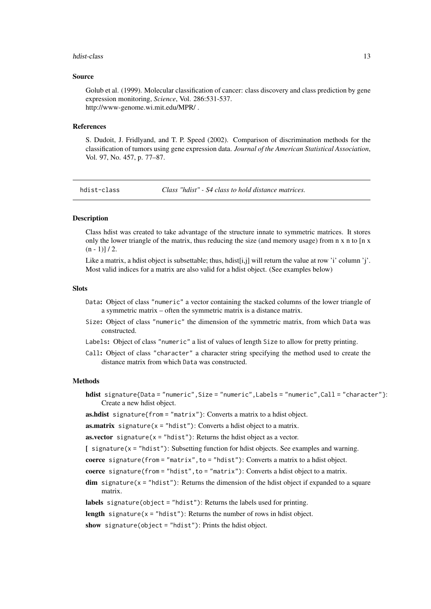#### <span id="page-12-0"></span>hdist-class and the contract of the contract of the contract of the contract of the contract of the contract of the contract of the contract of the contract of the contract of the contract of the contract of the contract o

#### Source

Golub et al. (1999). Molecular classification of cancer: class discovery and class prediction by gene expression monitoring, *Science*, Vol. 286:531-537. http://www-genome.wi.mit.edu/MPR/ .

#### References

S. Dudoit, J. Fridlyand, and T. P. Speed (2002). Comparison of discrimination methods for the classification of tumors using gene expression data. *Journal of the American Statistical Association*, Vol. 97, No. 457, p. 77–87.

hdist-class *Class "hdist" - S4 class to hold distance matrices.*

#### Description

Class hdist was created to take advantage of the structure innate to symmetric matrices. It stores only the lower triangle of the matrix, thus reducing the size (and memory usage) from  $n \times n$  to [ $n \times n$ ]  $(n - 1)$ ] / 2.

Like a matrix, a hdist object is subsettable; thus, hdist $[i,j]$  will return the value at row 'i' column 'j'. Most valid indices for a matrix are also valid for a hdist object. (See examples below)

#### Slots

- Data: Object of class "numeric" a vector containing the stacked columns of the lower triangle of a symmetric matrix – often the symmetric matrix is a distance matrix.
- Size: Object of class "numeric" the dimension of the symmetric matrix, from which Data was constructed.
- Labels: Object of class "numeric" a list of values of length Size to allow for pretty printing.
- Call: Object of class "character" a character string specifying the method used to create the distance matrix from which Data was constructed.

#### **Methods**

hdist signature{Data = "numeric",Size = "numeric",Labels = "numeric",Call = "character"}: Create a new hdist object.

as.hdist signature{from = "matrix"}: Converts a matrix to a hdist object.

**as.matrix** signature( $x = "hdist")$ : Converts a hdist object to a matrix.

**as.vector** signature( $x =$ "hdist"): Returns the hdist object as a vector.

 $\Gamma$  signature(x = "hdist"): Subsetting function for hdist objects. See examples and warning.

coerce signature(from = "matrix", to = "hdist"): Converts a matrix to a hdist object.

coerce signature(from = "hdist", to = "matrix"): Converts a hdist object to a matrix.

 $\dim$  signature( $x =$ "hdist"): Returns the dimension of the hdist object if expanded to a square matrix.

labels signature(object = "hdist"): Returns the labels used for printing.

length signature( $x = "hdist")$ : Returns the number of rows in hdist object.

show signature(object = "hdist"): Prints the hdist object.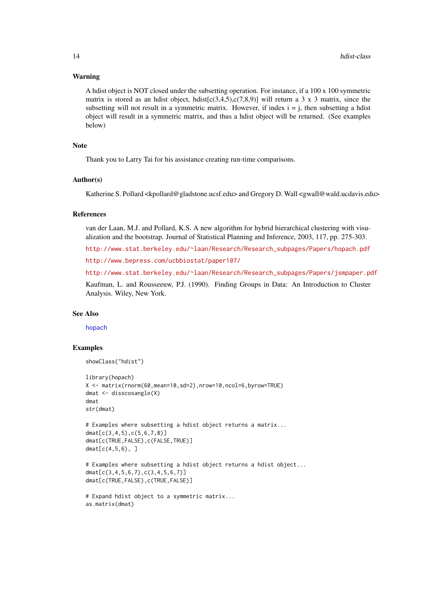#### Warning

A hdist object is NOT closed under the subsetting operation. For instance, if a 100 x 100 symmetric matrix is stored as an hdist object, hdist $[c(3,4,5),c(7,8,9)]$  will return a 3 x 3 matrix, since the subsetting will not result in a symmetric matrix. However, if index  $i = i$ , then subsetting a hdist object will result in a symmetric matrix, and thus a hdist object will be returned. (See examples below)

# Note

Thank you to Larry Tai for his assistance creating run-time comparisons.

#### Author(s)

Katherine S. Pollard <kpollard@gladstone.ucsf.edu> and Gregory D. Wall <gwall@wald.ucdavis.edu>

### References

van der Laan, M.J. and Pollard, K.S. A new algorithm for hybrid hierarchical clustering with visualization and the bootstrap. Journal of Statistical Planning and Inference, 2003, 117, pp. 275-303.

[http://www.stat.berkeley.edu/~laan/Research/Research\\_subpages/Papers/hopach.pdf](http://www.stat.berkeley.edu/~laan/Research/Research_subpages/Papers/hopach.pdf)

<http://www.bepress.com/ucbbiostat/paper107/>

[http://www.stat.berkeley.edu/~laan/Research/Research\\_subpages/Papers/jsmpaper.pdf](http://www.stat.berkeley.edu/~laan/Research/Research_subpages/Papers/jsmpaper.pdf)

Kaufman, L. and Rousseeuw, P.J. (1990). Finding Groups in Data: An Introduction to Cluster Analysis. Wiley, New York.

#### See Also

[hopach](#page-14-1)

#### Examples

```
showClass("hdist")
```

```
library(hopach)
X <- matrix(rnorm(60,mean=10,sd=2),nrow=10,ncol=6,byrow=TRUE)
dmat <- disscosangle(X)
dmat
str(dmat)
```

```
# Examples where subsetting a hdist object returns a matrix...
dmat[c(3,4,5),c(5,6,7,8)]
dmat[c(TRUE,FALSE),c(FALSE,TRUE)]
dmat[c(4,5,6), ]
```

```
# Examples where subsetting a hdist object returns a hdist object...
dmat[c(3,4,5,6,7),c(3,4,5,6,7)]
dmat[c(TRUE,FALSE),c(TRUE,FALSE)]
```

```
# Expand hdist object to a symmetric matrix...
as.matrix(dmat)
```
<span id="page-13-0"></span>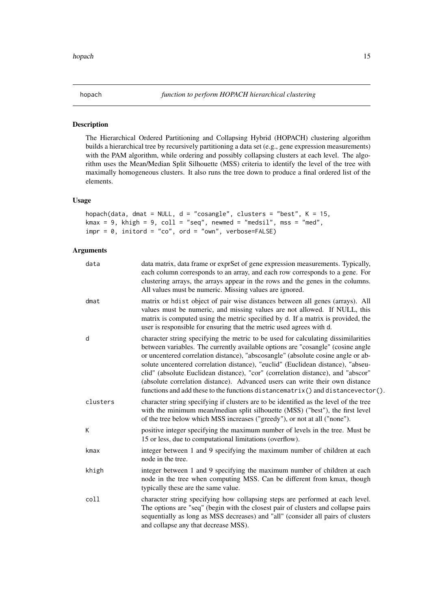<span id="page-14-1"></span><span id="page-14-0"></span>

# Description

The Hierarchical Ordered Partitioning and Collapsing Hybrid (HOPACH) clustering algorithm builds a hierarchical tree by recursively partitioning a data set (e.g., gene expression measurements) with the PAM algorithm, while ordering and possibly collapsing clusters at each level. The algorithm uses the Mean/Median Split Silhouette (MSS) criteria to identify the level of the tree with maximally homogeneous clusters. It also runs the tree down to produce a final ordered list of the elements.

# Usage

```
hopach(data, dmat = NULL, d = "cosangle", clusters = "best", K = 15,kmax = 9, khigh = 9, coll = "seq", newmed = "medsil", mss = "med",
impr = 0, initord = "co", ord = "own", verbose=False)
```
# Arguments

| data     | data matrix, data frame or exprSet of gene expression measurements. Typically,<br>each column corresponds to an array, and each row corresponds to a gene. For<br>clustering arrays, the arrays appear in the rows and the genes in the columns.<br>All values must be numeric. Missing values are ignored.                                                                                                                                                                                                                                                                                           |
|----------|-------------------------------------------------------------------------------------------------------------------------------------------------------------------------------------------------------------------------------------------------------------------------------------------------------------------------------------------------------------------------------------------------------------------------------------------------------------------------------------------------------------------------------------------------------------------------------------------------------|
| dmat     | matrix or hdist object of pair wise distances between all genes (arrays). All<br>values must be numeric, and missing values are not allowed. If NULL, this<br>matrix is computed using the metric specified by d. If a matrix is provided, the<br>user is responsible for ensuring that the metric used agrees with d.                                                                                                                                                                                                                                                                                |
| d        | character string specifying the metric to be used for calculating dissimilarities<br>between variables. The currently available options are "cosangle" (cosine angle<br>or uncentered correlation distance), "abscosangle" (absolute cosine angle or ab-<br>solute uncentered correlation distance), "euclid" (Euclidean distance), "abseu-<br>clid" (absolute Euclidean distance), "cor" (correlation distance), and "abscor"<br>(absolute correlation distance). Advanced users can write their own distance<br>functions and add these to the functions distance matrix () and distance vector (). |
| clusters | character string specifying if clusters are to be identified as the level of the tree<br>with the minimum mean/median split silhouette (MSS) ("best"), the first level<br>of the tree below which MSS increases ("greedy"), or not at all ("none").                                                                                                                                                                                                                                                                                                                                                   |
| K        | positive integer specifying the maximum number of levels in the tree. Must be<br>15 or less, due to computational limitations (overflow).                                                                                                                                                                                                                                                                                                                                                                                                                                                             |
| kmax     | integer between 1 and 9 specifying the maximum number of children at each<br>node in the tree.                                                                                                                                                                                                                                                                                                                                                                                                                                                                                                        |
| khigh    | integer between 1 and 9 specifying the maximum number of children at each<br>node in the tree when computing MSS. Can be different from kmax, though<br>typically these are the same value.                                                                                                                                                                                                                                                                                                                                                                                                           |
| coll     | character string specifying how collapsing steps are performed at each level.<br>The options are "seq" (begin with the closest pair of clusters and collapse pairs<br>sequentially as long as MSS decreases) and "all" (consider all pairs of clusters<br>and collapse any that decrease MSS).                                                                                                                                                                                                                                                                                                        |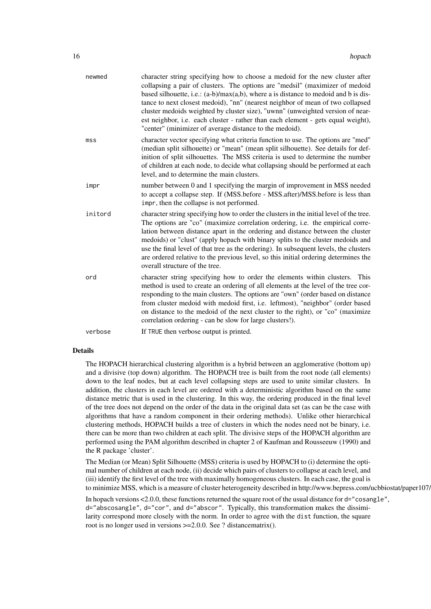| newmed          | character string specifying how to choose a medoid for the new cluster after<br>collapsing a pair of clusters. The options are "medsil" (maximizer of medoid<br>based silhouette, i.e.: $(a-b)/max(a,b)$ , where a is distance to medoid and b is dis-<br>tance to next closest medoid), "nn" (nearest neighbor of mean of two collapsed<br>cluster medoids weighted by cluster size), "uwnn" (unweighted version of near-<br>est neighbor, i.e. each cluster - rather than each element - gets equal weight),<br>"center" (minimizer of average distance to the medoid). |
|-----------------|---------------------------------------------------------------------------------------------------------------------------------------------------------------------------------------------------------------------------------------------------------------------------------------------------------------------------------------------------------------------------------------------------------------------------------------------------------------------------------------------------------------------------------------------------------------------------|
| ms <sub>S</sub> | character vector specifying what criteria function to use. The options are "med"<br>(median split silhouette) or "mean" (mean split silhouette). See details for def-<br>inition of split silhouettes. The MSS criteria is used to determine the number<br>of children at each node, to decide what collapsing should be performed at each<br>level, and to determine the main clusters.                                                                                                                                                                                  |
| impr            | number between 0 and 1 specifying the margin of improvement in MSS needed<br>to accept a collapse step. If (MSS.before - MSS.after)/MSS.before is less than<br>impr, then the collapse is not performed.                                                                                                                                                                                                                                                                                                                                                                  |
| initord         | character string specifying how to order the clusters in the initial level of the tree.<br>The options are "co" (maximize correlation ordering, i.e. the empirical corre-<br>lation between distance apart in the ordering and distance between the cluster<br>medoids) or "clust" (apply hopach with binary splits to the cluster medoids and<br>use the final level of that tree as the ordering). In subsequent levels, the clusters<br>are ordered relative to the previous level, so this initial ordering determines the<br>overall structure of the tree.          |
| ord             | character string specifying how to order the elements within clusters. This<br>method is used to create an ordering of all elements at the level of the tree cor-<br>responding to the main clusters. The options are "own" (order based on distance<br>from cluster medoid with medoid first, i.e. leftmost), "neighbor" (order based<br>on distance to the medoid of the next cluster to the right), or "co" (maximize<br>correlation ordering - can be slow for large clusters!).                                                                                      |
| verbose         | If TRUE then verbose output is printed.                                                                                                                                                                                                                                                                                                                                                                                                                                                                                                                                   |

#### Details

The HOPACH hierarchical clustering algorithm is a hybrid between an agglomerative (bottom up) and a divisive (top down) algorithm. The HOPACH tree is built from the root node (all elements) down to the leaf nodes, but at each level collapsing steps are used to unite similar clusters. In addition, the clusters in each level are ordered with a deterministic algorithm based on the same distance metric that is used in the clustering. In this way, the ordering produced in the final level of the tree does not depend on the order of the data in the original data set (as can be the case with algorithms that have a random component in their ordering methods). Unlike other hierarchical clustering methods, HOPACH builds a tree of clusters in which the nodes need not be binary, i.e. there can be more than two children at each split. The divisive steps of the HOPACH algorithm are performed using the PAM algorithm described in chapter 2 of Kaufman and Rousseeuw (1990) and the R package 'cluster'.

The Median (or Mean) Split Silhouette (MSS) criteria is used by HOPACH to (i) determine the optimal number of children at each node, (ii) decide which pairs of clusters to collapse at each level, and (iii) identify the first level of the tree with maximally homogeneous clusters. In each case, the goal is to minimize MSS, which is a measure of cluster heterogeneity described in http://www.bepress.com/ucbbiostat/paper107/.

In hopach versions <2.0.0, these functions returned the square root of the usual distance for d="cosangle", d="abscosangle", d="cor", and d="abscor". Typically, this transformation makes the dissimilarity correspond more closely with the norm. In order to agree with the dist function, the square root is no longer used in versions >=2.0.0. See ? distancematrix().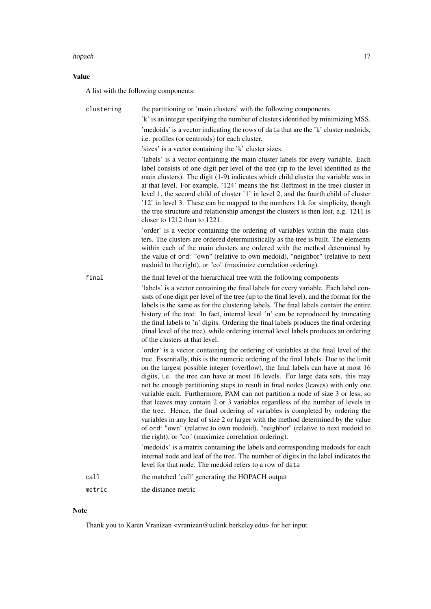#### hopach that the contract of the contract of the contract of the contract of the contract of the contract of the contract of the contract of the contract of the contract of the contract of the contract of the contract of th

# Value

A list with the following components:

| clustering | the partitioning or 'main clusters' with the following components                                                                                                                                                                                                                                                                                                                                                                                                                                                                                                                                                                                                                                                                                                                                                                                                                                                          |
|------------|----------------------------------------------------------------------------------------------------------------------------------------------------------------------------------------------------------------------------------------------------------------------------------------------------------------------------------------------------------------------------------------------------------------------------------------------------------------------------------------------------------------------------------------------------------------------------------------------------------------------------------------------------------------------------------------------------------------------------------------------------------------------------------------------------------------------------------------------------------------------------------------------------------------------------|
|            | 'k' is an integer specifying the number of clusters identified by minimizing MSS.                                                                                                                                                                                                                                                                                                                                                                                                                                                                                                                                                                                                                                                                                                                                                                                                                                          |
|            | 'medoids' is a vector indicating the rows of data that are the 'k' cluster medoids,<br>i.e. profiles (or centroids) for each cluster.                                                                                                                                                                                                                                                                                                                                                                                                                                                                                                                                                                                                                                                                                                                                                                                      |
|            | 'sizes' is a vector containing the 'k' cluster sizes.                                                                                                                                                                                                                                                                                                                                                                                                                                                                                                                                                                                                                                                                                                                                                                                                                                                                      |
|            | 'labels' is a vector containing the main cluster labels for every variable. Each<br>label consists of one digit per level of the tree (up to the level identified as the<br>main clusters). The digit (1-9) indicates which child cluster the variable was in<br>at that level. For example, '124' means the fist (leftmost in the tree) cluster in<br>level 1, the second child of cluster '1' in level 2, and the fourth child of cluster<br>'12' in level 3. These can be mapped to the numbers 1:k for simplicity, though<br>the tree structure and relationship amongst the clusters is then lost, e.g. 1211 is<br>closer to $1212$ than to $1221$ .                                                                                                                                                                                                                                                                  |
|            | 'order' is a vector containing the ordering of variables within the main clus-<br>ters. The clusters are ordered deterministically as the tree is built. The elements<br>within each of the main clusters are ordered with the method determined by<br>the value of ord: "own" (relative to own medoid), "neighbor" (relative to next<br>medoid to the right), or "co" (maximize correlation ordering).                                                                                                                                                                                                                                                                                                                                                                                                                                                                                                                    |
| final      | the final level of the hierarchical tree with the following components                                                                                                                                                                                                                                                                                                                                                                                                                                                                                                                                                                                                                                                                                                                                                                                                                                                     |
|            | 'labels' is a vector containing the final labels for every variable. Each label con-<br>sists of one digit per level of the tree (up to the final level), and the format for the<br>labels is the same as for the clustering labels. The final labels contain the entire<br>history of the tree. In fact, internal level 'n' can be reproduced by truncating<br>the final labels to 'n' digits. Ordering the final labels produces the final ordering<br>(final level of the tree), while ordering internal level labels produces an ordering<br>of the clusters at that level.                                                                                                                                                                                                                                                                                                                                            |
|            | 'order' is a vector containing the ordering of variables at the final level of the<br>tree. Essentially, this is the numeric ordering of the final labels. Due to the limit<br>on the largest possible integer (overflow), the final labels can have at most 16<br>digits, i.e. the tree can have at most 16 levels. For large data sets, this may<br>not be enough partitioning steps to result in final nodes (leaves) with only one<br>variable each. Furthermore, PAM can not partition a node of size 3 or less, so<br>that leaves may contain 2 or 3 variables regardless of the number of levels in<br>the tree. Hence, the final ordering of variables is completed by ordering the<br>variables in any leaf of size 2 or larger with the method determined by the value<br>of ord: "own" (relative to own medoid), "neighbor" (relative to next medoid to<br>the right), or "co" (maximize correlation ordering). |
|            | 'medoids' is a matrix containing the labels and corresponding medoids for each<br>internal node and leaf of the tree. The number of digits in the label indicates the<br>level for that node. The medoid refers to a row of data                                                                                                                                                                                                                                                                                                                                                                                                                                                                                                                                                                                                                                                                                           |
| call       | the matched 'call' generating the HOPACH output                                                                                                                                                                                                                                                                                                                                                                                                                                                                                                                                                                                                                                                                                                                                                                                                                                                                            |
| metric     | the distance metric                                                                                                                                                                                                                                                                                                                                                                                                                                                                                                                                                                                                                                                                                                                                                                                                                                                                                                        |

# Note

Thank you to Karen Vranizan <vranizan@uclink.berkeley.edu> for her input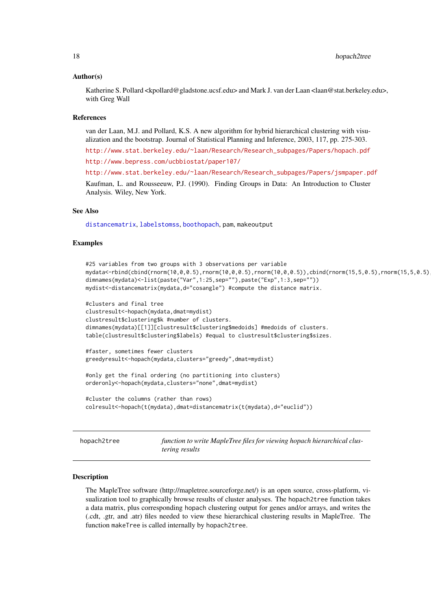#### <span id="page-17-0"></span>Author(s)

Katherine S. Pollard <kpollard@gladstone.ucsf.edu> and Mark J. van der Laan <laan@stat.berkeley.edu>, with Greg Wall

#### References

van der Laan, M.J. and Pollard, K.S. A new algorithm for hybrid hierarchical clustering with visualization and the bootstrap. Journal of Statistical Planning and Inference, 2003, 117, pp. 275-303.

[http://www.stat.berkeley.edu/~laan/Research/Research\\_subpages/Papers/hopach.pdf](http://www.stat.berkeley.edu/~laan/Research/Research_subpages/Papers/hopach.pdf) <http://www.bepress.com/ucbbiostat/paper107/>

[http://www.stat.berkeley.edu/~laan/Research/Research\\_subpages/Papers/jsmpaper.pdf](http://www.stat.berkeley.edu/~laan/Research/Research_subpages/Papers/jsmpaper.pdf)

Kaufman, L. and Rousseeuw, P.J. (1990). Finding Groups in Data: An Introduction to Cluster Analysis. Wiley, New York.

#### See Also

[distancematrix](#page-7-1), [labelstomss](#page-20-1), [boothopach](#page-2-1), pam, makeoutput

# Examples

```
#25 variables from two groups with 3 observations per variable
mydata<-rbind(cbind(rnorm(10,0,0.5),rnorm(10,0,0.5),rnorm(10,0,0.5)),cbind(rnorm(15,5,0.5),rnorm(15,5,0.5),rnorm(15,5,0.5)))
dimnames(mydata)<-list(paste("Var",1:25,sep=""),paste("Exp",1:3,sep=""))
mydist<-distancematrix(mydata,d="cosangle") #compute the distance matrix.
#clusters and final tree
clustresult<-hopach(mydata,dmat=mydist)
clustresult$clustering$k #number of clusters.
dimnames(mydata)[[1]][clustresult$clustering$medoids] #medoids of clusters.
```
table(clustresult\$clustering\$labels) #equal to clustresult\$clustering\$sizes.

```
#faster, sometimes fewer clusters
greedyresult<-hopach(mydata,clusters="greedy",dmat=mydist)
```

```
#only get the final ordering (no partitioning into clusters)
orderonly<-hopach(mydata,clusters="none",dmat=mydist)
```

```
#cluster the columns (rather than rows)
colresult<-hopach(t(mydata),dmat=distancematrix(t(mydata),d="euclid"))
```
<span id="page-17-1"></span>hopach2tree *function to write MapleTree files for viewing hopach hierarchical clustering results*

#### **Description**

The MapleTree software (http://mapletree.sourceforge.net/) is an open source, cross-platform, visualization tool to graphically browse results of cluster analyses. The hopach2tree function takes a data matrix, plus corresponding hopach clustering output for genes and/or arrays, and writes the (.cdt, .gtr, and .atr) files needed to view these hierarchical clustering results in MapleTree. The function makeTree is called internally by hopach2tree.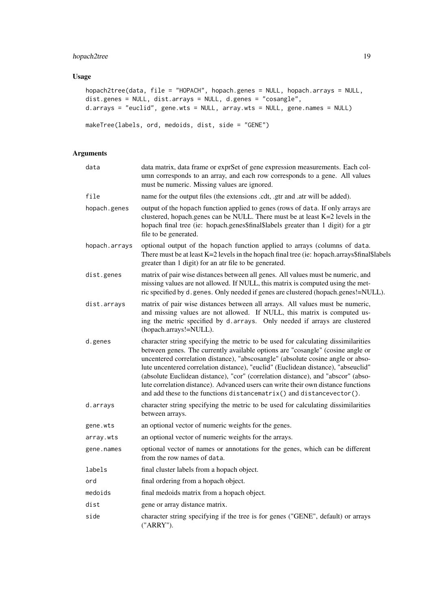# hopach2tree 19

# Usage

```
hopach2tree(data, file = "HOPACH", hopach.genes = NULL, hopach.arrays = NULL,
dist.genes = NULL, dist.arrays = NULL, d.genes = "cosangle",
d.arrays = "euclid", gene.wts = NULL, array.wts = NULL, gene.names = NULL)
makeTree(labels, ord, medoids, dist, side = "GENE")
```
# Arguments

| data matrix, data frame or exprSet of gene expression measurements. Each col-<br>umn corresponds to an array, and each row corresponds to a gene. All values<br>must be numeric. Missing values are ignored.                                                                                                                                                                                                                                                                                                                                                                                  |
|-----------------------------------------------------------------------------------------------------------------------------------------------------------------------------------------------------------------------------------------------------------------------------------------------------------------------------------------------------------------------------------------------------------------------------------------------------------------------------------------------------------------------------------------------------------------------------------------------|
| name for the output files (the extensions .cdt, .gtr and .atr will be added).                                                                                                                                                                                                                                                                                                                                                                                                                                                                                                                 |
| output of the hopach function applied to genes (rows of data. If only arrays are<br>clustered, hopach.genes can be NULL. There must be at least K=2 levels in the<br>hopach final tree (ie: hopach.genes\$final\$labels greater than 1 digit) for a gtr<br>file to be generated.                                                                                                                                                                                                                                                                                                              |
| optional output of the hopach function applied to arrays (columns of data.<br>There must be at least K=2 levels in the hopach final tree (ie: hopach.arrays\$final\$labels<br>greater than 1 digit) for an atr file to be generated.                                                                                                                                                                                                                                                                                                                                                          |
| matrix of pair wise distances between all genes. All values must be numeric, and<br>missing values are not allowed. If NULL, this matrix is computed using the met-<br>ric specified by d. genes. Only needed if genes are clustered (hopach.genes!=NULL).                                                                                                                                                                                                                                                                                                                                    |
| matrix of pair wise distances between all arrays. All values must be numeric,<br>and missing values are not allowed. If NULL, this matrix is computed us-<br>ing the metric specified by d. arrays. Only needed if arrays are clustered<br>(hopach.arrays!=NULL).                                                                                                                                                                                                                                                                                                                             |
| character string specifying the metric to be used for calculating dissimilarities<br>between genes. The currently available options are "cosangle" (cosine angle or<br>uncentered correlation distance), "abscosangle" (absolute cosine angle or abso-<br>lute uncentered correlation distance), "euclid" (Euclidean distance), "abseuclid"<br>(absolute Euclidean distance), "cor" (correlation distance), and "abscor" (abso-<br>lute correlation distance). Advanced users can write their own distance functions<br>and add these to the functions distancematrix() and distancevector(). |
| character string specifying the metric to be used for calculating dissimilarities<br>between arrays.                                                                                                                                                                                                                                                                                                                                                                                                                                                                                          |
| an optional vector of numeric weights for the genes.                                                                                                                                                                                                                                                                                                                                                                                                                                                                                                                                          |
| an optional vector of numeric weights for the arrays.                                                                                                                                                                                                                                                                                                                                                                                                                                                                                                                                         |
| optional vector of names or annotations for the genes, which can be different<br>from the row names of data.                                                                                                                                                                                                                                                                                                                                                                                                                                                                                  |
| final cluster labels from a hopach object.                                                                                                                                                                                                                                                                                                                                                                                                                                                                                                                                                    |
| final ordering from a hopach object.                                                                                                                                                                                                                                                                                                                                                                                                                                                                                                                                                          |
| final medoids matrix from a hopach object.                                                                                                                                                                                                                                                                                                                                                                                                                                                                                                                                                    |
| gene or array distance matrix.                                                                                                                                                                                                                                                                                                                                                                                                                                                                                                                                                                |
| character string specifying if the tree is for genes ("GENE", default) or arrays<br>("ARRY").                                                                                                                                                                                                                                                                                                                                                                                                                                                                                                 |
|                                                                                                                                                                                                                                                                                                                                                                                                                                                                                                                                                                                               |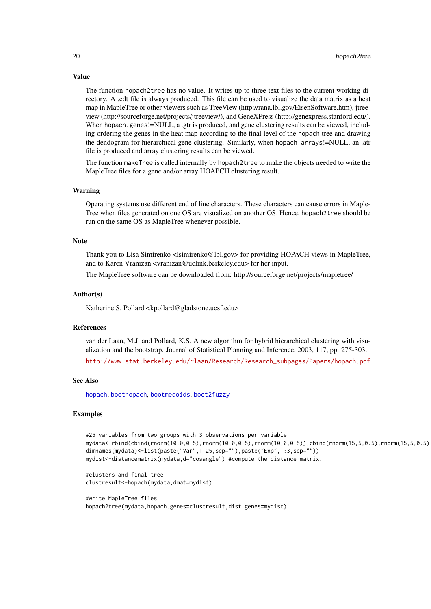<span id="page-19-0"></span>Value

The function hopach2tree has no value. It writes up to three text files to the current working directory. A .cdt file is always produced. This file can be used to visualize the data matrix as a heat map in MapleTree or other viewers such as TreeView (http://rana.lbl.gov/EisenSoftware.htm), jtreeview (http://sourceforge.net/projects/jtreeview/), and GeneXPress (http://genexpress.stanford.edu/). When hopach.genes!=NULL, a .gtr is produced, and gene clustering results can be viewed, including ordering the genes in the heat map according to the final level of the hopach tree and drawing the dendogram for hierarchical gene clustering. Similarly, when hopach.arrays!=NULL, an .atr file is produced and array clustering results can be viewed.

The function makeTree is called internally by hopach2tree to make the objects needed to write the MapleTree files for a gene and/or array HOAPCH clustering result.

#### Warning

Operating systems use different end of line characters. These characters can cause errors in Maple-Tree when files generated on one OS are visualized on another OS. Hence, hopach2tree should be run on the same OS as MapleTree whenever possible.

#### Note

Thank you to Lisa Simirenko <lsimirenko@lbl.gov> for providing HOPACH views in MapleTree, and to Karen Vranizan <vranizan@uclink.berkeley.edu> for her input.

The MapleTree software can be downloaded from: http://sourceforge.net/projects/mapletree/

#### Author(s)

Katherine S. Pollard <kpollard@gladstone.ucsf.edu>

# References

van der Laan, M.J. and Pollard, K.S. A new algorithm for hybrid hierarchical clustering with visualization and the bootstrap. Journal of Statistical Planning and Inference, 2003, 117, pp. 275-303.

[http://www.stat.berkeley.edu/~laan/Research/Research\\_subpages/Papers/hopach.pdf](http://www.stat.berkeley.edu/~laan/Research/Research_subpages/Papers/hopach.pdf)

#### See Also

[hopach](#page-14-1), [boothopach](#page-2-1), [bootmedoids](#page-2-2), [boot2fuzzy](#page-1-1)

#### Examples

```
#25 variables from two groups with 3 observations per variable
mydata<-rbind(cbind(rnorm(10,0,0.5),rnorm(10,0,0.5),rnorm(10,0,0.5)),cbind(rnorm(15,5,0.5),rnorm(15,5,0.5),rnorm(15,5,0.5)))
dimnames(mydata)<-list(paste("Var",1:25,sep=""),paste("Exp",1:3,sep=""))
mydist<-distancematrix(mydata,d="cosangle") #compute the distance matrix.
```
#clusters and final tree clustresult<-hopach(mydata,dmat=mydist)

#write MapleTree files hopach2tree(mydata,hopach.genes=clustresult,dist.genes=mydist)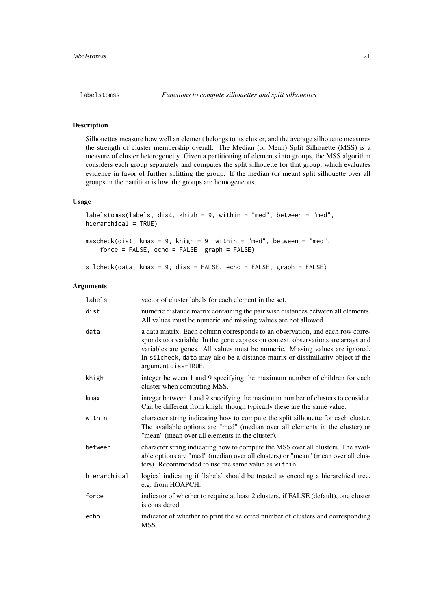<span id="page-20-1"></span><span id="page-20-0"></span>

# Description

Silhouettes measure how well an element belongs to its cluster, and the average silhouette measures the strength of cluster membership overall. The Median (or Mean) Split Silhouette (MSS) is a measure of cluster heterogeneity. Given a partitioning of elements into groups, the MSS algorithm considers each group separately and computes the split silhouette for that group, which evaluates evidence in favor of further splitting the group. If the median (or mean) split silhouette over all groups in the partition is low, the groups are homogeneous.

# Usage

```
labelstomss(labels, dist, khigh = 9, within = "med", between = "med",
hierarchical = TRUE)
msscheck(dist, kmax = 9, khigh = 9, within = "med", between = "med",
    force = FALSE, echo = FALSE, graph = FALSE)
```
silcheck(data, kmax = 9, diss = FALSE, echo = FALSE, graph = FALSE)

#### Arguments

| labels       | vector of cluster labels for each element in the set.                                                                                                                                                                                                                                                                                                       |
|--------------|-------------------------------------------------------------------------------------------------------------------------------------------------------------------------------------------------------------------------------------------------------------------------------------------------------------------------------------------------------------|
| dist         | numeric distance matrix containing the pair wise distances between all elements.<br>All values must be numeric and missing values are not allowed.                                                                                                                                                                                                          |
| data         | a data matrix. Each column corresponds to an observation, and each row corre-<br>sponds to a variable. In the gene expression context, observations are arrays and<br>variables are genes. All values must be numeric. Missing values are ignored.<br>In silcheck, data may also be a distance matrix or dissimilarity object if the<br>argument diss=TRUE. |
| khigh        | integer between 1 and 9 specifying the maximum number of children for each<br>cluster when computing MSS.                                                                                                                                                                                                                                                   |
| kmax         | integer between 1 and 9 specifying the maximum number of clusters to consider.<br>Can be different from khigh, though typically these are the same value.                                                                                                                                                                                                   |
| within       | character string indicating how to compute the split silhouette for each cluster.<br>The available options are "med" (median over all elements in the cluster) or<br>"mean" (mean over all elements in the cluster).                                                                                                                                        |
| between      | character string indicating how to compute the MSS over all clusters. The avail-<br>able options are "med" (median over all clusters) or "mean" (mean over all clus-<br>ters). Recommended to use the same value as within.                                                                                                                                 |
| hierarchical | logical indicating if 'labels' should be treated as encoding a hierarchical tree,<br>e.g. from HOAPCH.                                                                                                                                                                                                                                                      |
| force        | indicator of whether to require at least 2 clusters, if FALSE (default), one cluster<br>is considered.                                                                                                                                                                                                                                                      |
| echo         | indicator of whether to print the selected number of clusters and corresponding<br>MSS.                                                                                                                                                                                                                                                                     |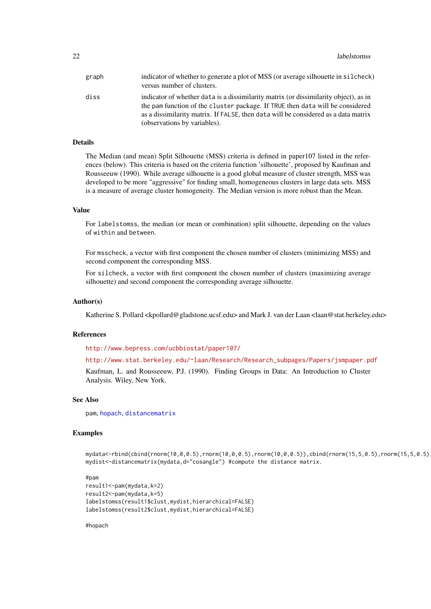<span id="page-21-0"></span>

| graph | indicator of whether to generate a plot of MSS (or average silhouette in silcheck)<br>versus number of clusters.                                                                                                                                                                            |
|-------|---------------------------------------------------------------------------------------------------------------------------------------------------------------------------------------------------------------------------------------------------------------------------------------------|
| diss  | indicator of whether data is a dissimilarity matrix (or dissimilarity object), as in<br>the pam function of the cluster package. If TRUE then data will be considered<br>as a dissimilarity matrix. If FALSE, then data will be considered as a data matrix<br>(observations by variables). |

# Details

The Median (and mean) Split Silhouette (MSS) criteria is defined in paper107 listed in the references (below). This criteria is based on the criteria function 'silhouette', proposed by Kaufman and Rousseeuw (1990). While average silhouette is a good global measure of cluster strength, MSS was developed to be more "aggressive" for finding small, homogeneous clusters in large data sets. MSS is a measure of average cluster homogeneity. The Median version is more robust than the Mean.

#### Value

For labelstomss, the median (or mean or combination) split silhouette, depending on the values of within and between.

For msscheck, a vector with first component the chosen number of clusters (minimizing MSS) and second component the corresponding MSS.

For silcheck, a vector with first component the chosen number of clusters (maximizing average silhouette) and second component the corresponding average silhouette.

#### Author(s)

Katherine S. Pollard <kpollard@gladstone.ucsf.edu> and Mark J. van der Laan <laan@stat.berkeley.edu>

#### References

<http://www.bepress.com/ucbbiostat/paper107/>

#### [http://www.stat.berkeley.edu/~laan/Research/Research\\_subpages/Papers/jsmpaper.pdf](http://www.stat.berkeley.edu/~laan/Research/Research_subpages/Papers/jsmpaper.pdf)

Kaufman, L. and Rousseeuw, P.J. (1990). Finding Groups in Data: An Introduction to Cluster Analysis. Wiley, New York.

#### See Also

pam, [hopach](#page-14-1), [distancematrix](#page-7-1)

#### Examples

mydata<-rbind(cbind(rnorm(10,0,0.5),rnorm(10,0,0.5),rnorm(10,0,0.5)),cbind(rnorm(15,5,0.5),rnorm(15,5,0.5),rnorm(15,5,0.5))) mydist<-distancematrix(mydata,d="cosangle") #compute the distance matrix.

#### #pam

```
result1<-pam(mydata,k=2)
result2<-pam(mydata,k=5)
labelstomss(result1$clust,mydist,hierarchical=FALSE)
labelstomss(result2$clust,mydist,hierarchical=FALSE)
```
#hopach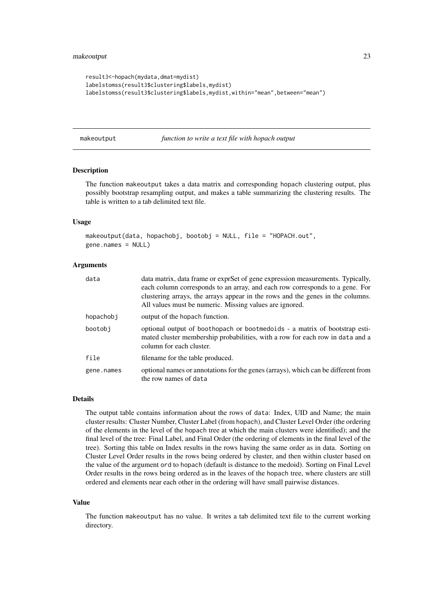#### <span id="page-22-0"></span>makeoutput 23

```
result3<-hopach(mydata,dmat=mydist)
labelstomss(result3$clustering$labels,mydist)
labelstomss(result3$clustering$labels,mydist,within="mean",between="mean")
```
<span id="page-22-1"></span>makeoutput *function to write a text file with hopach output*

# Description

The function makeoutput takes a data matrix and corresponding hopach clustering output, plus possibly bootstrap resampling output, and makes a table summarizing the clustering results. The table is written to a tab delimited text file.

#### Usage

```
makeoutput(data, hopachobj, bootobj = NULL, file = "HOPACH.out",
gene.names = NULL)
```
#### Arguments

| data       | data matrix, data frame or exprSet of gene expression measurements. Typically,<br>each column corresponds to an array, and each row corresponds to a gene. For<br>clustering arrays, the arrays appear in the rows and the genes in the columns.<br>All values must be numeric. Missing values are ignored. |
|------------|-------------------------------------------------------------------------------------------------------------------------------------------------------------------------------------------------------------------------------------------------------------------------------------------------------------|
| hopachobj  | output of the hopach function.                                                                                                                                                                                                                                                                              |
| bootobi    | optional output of boothopach or bootmedoids - a matrix of bootstrap esti-<br>mated cluster membership probabilities, with a row for each row in data and a<br>column for each cluster.                                                                                                                     |
| file       | filename for the table produced.                                                                                                                                                                                                                                                                            |
| gene.names | optional names or annotations for the genes (arrays), which can be different from<br>the row names of data                                                                                                                                                                                                  |

#### Details

The output table contains information about the rows of data: Index, UID and Name; the main cluster results: Cluster Number, Cluster Label (from hopach), and Cluster Level Order (the ordering of the elements in the level of the hopach tree at which the main clusters were identified); and the final level of the tree: Final Label, and Final Order (the ordering of elements in the final level of the tree). Sorting this table on Index results in the rows having the same order as in data. Sorting on Cluster Level Order results in the rows being ordered by cluster, and then within cluster based on the value of the argument ord to hopach (default is distance to the medoid). Sorting on Final Level Order results in the rows being ordered as in the leaves of the hopach tree, where clusters are still ordered and elements near each other in the ordering will have small pairwise distances.

#### Value

The function makeoutput has no value. It writes a tab delimited text file to the current working directory.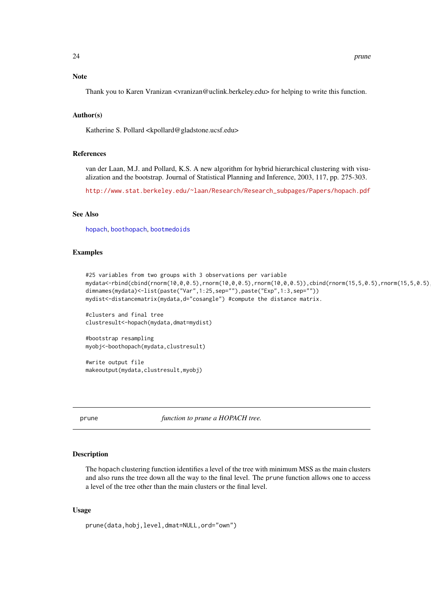#### <span id="page-23-0"></span>Note

Thank you to Karen Vranizan <vranizan@uclink.berkeley.edu> for helping to write this function.

#### Author(s)

Katherine S. Pollard <kpollard@gladstone.ucsf.edu>

# References

van der Laan, M.J. and Pollard, K.S. A new algorithm for hybrid hierarchical clustering with visualization and the bootstrap. Journal of Statistical Planning and Inference, 2003, 117, pp. 275-303.

[http://www.stat.berkeley.edu/~laan/Research/Research\\_subpages/Papers/hopach.pdf](http://www.stat.berkeley.edu/~laan/Research/Research_subpages/Papers/hopach.pdf)

# See Also

[hopach](#page-14-1), [boothopach](#page-2-1), [bootmedoids](#page-2-2)

#### Examples

```
#25 variables from two groups with 3 observations per variable
mydata<-rbind(cbind(rnorm(10,0,0.5),rnorm(10,0,0.5),rnorm(10,0,0.5)),cbind(rnorm(15,5,0.5),rnorm(15,5,0.5),rnorm(15,5,0.5)))
dimnames(mydata)<-list(paste("Var",1:25,sep=""),paste("Exp",1:3,sep=""))
mydist<-distancematrix(mydata,d="cosangle") #compute the distance matrix.
```

```
#clusters and final tree
clustresult<-hopach(mydata,dmat=mydist)
```

```
#bootstrap resampling
myobj<-boothopach(mydata,clustresult)
```
#write output file makeoutput(mydata,clustresult,myobj)

prune *function to prune a HOPACH tree.*

#### Description

The hopach clustering function identifies a level of the tree with minimum MSS as the main clusters and also runs the tree down all the way to the final level. The prune function allows one to access a level of the tree other than the main clusters or the final level.

# Usage

```
prune(data,hobj,level,dmat=NULL,ord="own")
```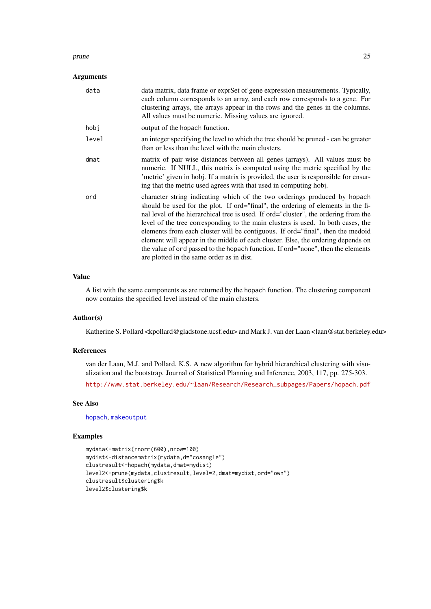#### <span id="page-24-0"></span>prune 25

# Arguments

| data  | data matrix, data frame or exprSet of gene expression measurements. Typically,<br>each column corresponds to an array, and each row corresponds to a gene. For<br>clustering arrays, the arrays appear in the rows and the genes in the columns.<br>All values must be numeric. Missing values are ignored.                                                                                                                                                                                                                                                                                                                                     |
|-------|-------------------------------------------------------------------------------------------------------------------------------------------------------------------------------------------------------------------------------------------------------------------------------------------------------------------------------------------------------------------------------------------------------------------------------------------------------------------------------------------------------------------------------------------------------------------------------------------------------------------------------------------------|
| hobj  | output of the hopach function.                                                                                                                                                                                                                                                                                                                                                                                                                                                                                                                                                                                                                  |
| level | an integer specifying the level to which the tree should be pruned - can be greater<br>than or less than the level with the main clusters.                                                                                                                                                                                                                                                                                                                                                                                                                                                                                                      |
| dmat  | matrix of pair wise distances between all genes (arrays). All values must be<br>numeric. If NULL, this matrix is computed using the metric specified by the<br>'metric' given in hobj. If a matrix is provided, the user is responsible for ensur-<br>ing that the metric used agrees with that used in computing hobj.                                                                                                                                                                                                                                                                                                                         |
| ord   | character string indicating which of the two orderings produced by hopach<br>should be used for the plot. If ord="final", the ordering of elements in the fi-<br>nal level of the hierarchical tree is used. If ord="cluster", the ordering from the<br>level of the tree corresponding to the main clusters is used. In both cases, the<br>elements from each cluster will be contiguous. If ord="final", then the medoid<br>element will appear in the middle of each cluster. Else, the ordering depends on<br>the value of ord passed to the hopach function. If ord="none", then the elements<br>are plotted in the same order as in dist. |

#### Value

A list with the same components as are returned by the hopach function. The clustering component now contains the specified level instead of the main clusters.

#### Author(s)

Katherine S. Pollard <kpollard@gladstone.ucsf.edu> and Mark J. van der Laan <laan@stat.berkeley.edu>

#### References

van der Laan, M.J. and Pollard, K.S. A new algorithm for hybrid hierarchical clustering with visualization and the bootstrap. Journal of Statistical Planning and Inference, 2003, 117, pp. 275-303.

[http://www.stat.berkeley.edu/~laan/Research/Research\\_subpages/Papers/hopach.pdf](http://www.stat.berkeley.edu/~laan/Research/Research_subpages/Papers/hopach.pdf)

# See Also

[hopach](#page-14-1), [makeoutput](#page-22-1)

# Examples

```
mydata<-matrix(rnorm(600),nrow=100)
mydist<-distancematrix(mydata,d="cosangle")
clustresult<-hopach(mydata,dmat=mydist)
level2<-prune(mydata,clustresult,level=2,dmat=mydist,ord="own")
clustresult$clustering$k
level2$clustering$k
```